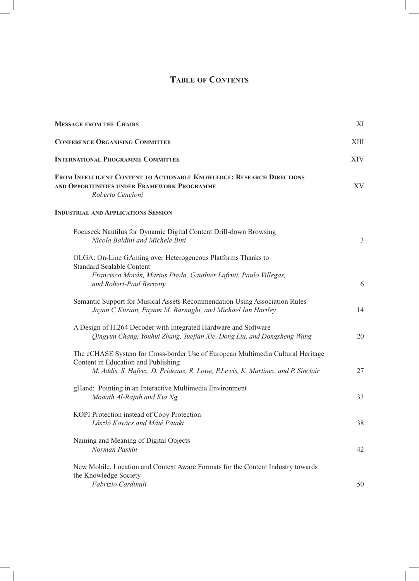# **Table of Contents**

| <b>MESSAGE FROM THE CHAIRS</b>                                                                                                                                                                             |                |
|------------------------------------------------------------------------------------------------------------------------------------------------------------------------------------------------------------|----------------|
| <b>CONFERENCE ORGANISING COMMITTEE</b>                                                                                                                                                                     | XIII           |
| <b>INTERNATIONAL PROGRAMME COMMITTEE</b><br>FROM INTELLIGENT CONTENT TO ACTIONABLE KNOWLEDGE: RESEARCH DIRECTIONS<br>AND OPPORTUNITIES UNDER FRAMEWORK PROGRAMME<br>Roberto Cencioni                       |                |
|                                                                                                                                                                                                            |                |
| Focuseek Nautilus for Dynamic Digital Content Drill-down Browsing<br>Nicola Baldini and Michele Bini                                                                                                       | $\mathfrak{Z}$ |
| OLGA: On-Line GAming over Heterogeneous Platforms Thanks to<br><b>Standard Scalable Content</b><br>Francisco Morán, Marius Preda, Gauthier Lafruit, Paulo Villegas,                                        |                |
| and Robert-Paul Berretty                                                                                                                                                                                   | 6              |
| Semantic Support for Musical Assets Recommendation Using Association Rules<br>Jayan C Kurian, Payam M. Barnaghi, and Michael Ian Hartley                                                                   | 14             |
| A Design of H.264 Decoder with Integrated Hardware and Software<br>Qingyun Chang, Youhui Zhang, Yuejian Xie, Dong Liu, and Dongsheng Wang                                                                  | 20             |
| The eCHASE System for Cross-border Use of European Multimedia Cultural Heritage<br>Content in Education and Publishing<br>M. Addis, S. Hafeez, D. Prideaux, R. Lowe, P.Lewis, K. Martinez, and P. Sinclair | 27             |
| gHand: Pointing in an Interactive Multimedia Environment<br>Moaath Al-Rajab and Kia Ng                                                                                                                     | 33             |
| KOPI Protection instead of Copy Protection<br>László Kovács and Máté Pataki                                                                                                                                | 38             |
| Naming and Meaning of Digital Objects<br>Norman Paskin                                                                                                                                                     | 42             |
| New Mobile, Location and Context Aware Formats for the Content Industry towards<br>the Knowledge Society<br>Fabrizio Cardinali                                                                             | 50             |

 $\overline{\phantom{a}}$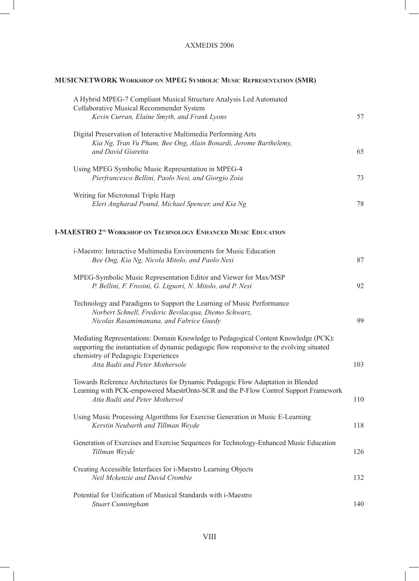## AXMEDIS 2006

## **MUSICNETWORK Workshop on MPEG Symbolic Music Representation (SMR)**

 $\mathbf{I}$ 

| A Hybrid MPEG-7 Compliant Musical Structure Analysis Led Automated<br><b>Collaborative Musical Recommender System</b><br>Kevin Curran, Elaine Smyth, and Frank Lyons                                                                                       | 57  |
|------------------------------------------------------------------------------------------------------------------------------------------------------------------------------------------------------------------------------------------------------------|-----|
| Digital Preservation of Interactive Multimedia Performing Arts<br>Kia Ng, Tran Vu Pham, Bee Ong, Alain Bonardi, Jerome Barthelemy,<br>and David Giaretta                                                                                                   | 65  |
| Using MPEG Symbolic Music Representation in MPEG-4<br>Pierfrancesco Bellini, Paolo Nesi, and Giorgio Zoia                                                                                                                                                  | 73  |
| Writing for Microtonal Triple Harp<br>Eleri Angharad Pound, Michael Spencer, and Kia Ng                                                                                                                                                                    | 78  |
| <b>I-MAESTRO 2<sup>ND</sup> WORKSHOP ON TECHNOLOGY ENHANCED MUSIC EDUCATION</b>                                                                                                                                                                            |     |
| i-Maestro: Interactive Multimedia Environments for Music Education<br>Bee Ong, Kia Ng, Nicola Mitolo, and Paolo Nesi                                                                                                                                       | 87  |
| MPEG-Symbolic Music Representation Editor and Viewer for Max/MSP<br>P. Bellini, F. Frosini, G. Liguori, N. Mitolo, and P. Nesi                                                                                                                             | 92  |
| Technology and Paradigms to Support the Learning of Music Performance<br>Norbert Schnell, Frederic Bevilacqua, Diemo Schwarz,<br>Nicolas Rasamimanana, and Fabrice Guedy                                                                                   | 99  |
| Mediating Representations: Domain Knowledge to Pedagogical Content Knowledge (PCK):<br>supporting the instantiation of dynamic pedagogic flow responsive to the evolving situated<br>chemistry of Pedagogic Experiences<br>Atta Badii and Peter Mothersole | 103 |
| Towards Reference Architectures for Dynamic Pedagogic Flow Adaptation in Blended<br>Learning with PCK-empowered MaestrOnto-SCR and the P-Flow Control Support Framework<br>Atta Badii and Peter Mothersol                                                  | 110 |
| Using Music Processing Algorithms for Exercise Generation in Music E-Learning<br>Kerstin Neubarth and Tillman Weyde                                                                                                                                        | 118 |
| Generation of Exercises and Exercise Sequences for Technology-Enhanced Music Education<br>Tillman Weyde                                                                                                                                                    | 126 |
| Creating Accessible Interfaces for i-Maestro Learning Objects<br>Neil Mckenzie and David Crombie                                                                                                                                                           | 132 |
| Potential for Unification of Musical Standards with i-Maestro<br><b>Stuart Cunningham</b>                                                                                                                                                                  | 140 |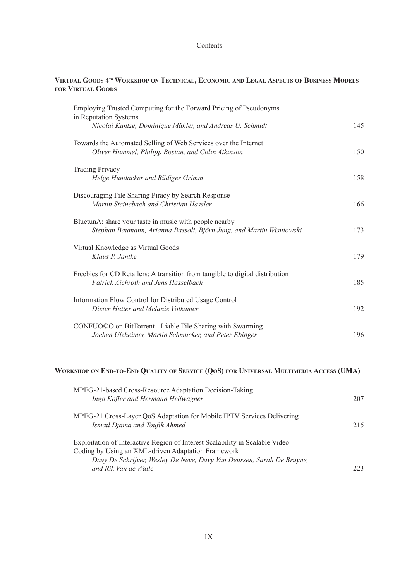#### Contents

#### **Virtual Goods 4th Workshop on Technical, Economic and Legal Aspects of Business Models for Virtual Goods**

| Employing Trusted Computing for the Forward Pricing of Pseudonyms                                                             |     |
|-------------------------------------------------------------------------------------------------------------------------------|-----|
| in Reputation Systems<br>Nicolai Kuntze, Dominique Mähler, and Andreas U. Schmidt                                             | 145 |
| Towards the Automated Selling of Web Services over the Internet<br>Oliver Hummel, Philipp Bostan, and Colin Atkinson          | 150 |
| <b>Trading Privacy</b><br>Helge Hundacker and Rüdiger Grimm                                                                   | 158 |
| Discouraging File Sharing Piracy by Search Response<br>Martin Steinebach and Christian Hassler                                | 166 |
| BluetunA: share your taste in music with people nearby<br>Stephan Baumann, Arianna Bassoli, Björn Jung, and Martin Wisniowski | 173 |
| Virtual Knowledge as Virtual Goods<br>Klaus P. Jantke                                                                         | 179 |
| Freebies for CD Retailers: A transition from tangible to digital distribution<br>Patrick Aichroth and Jens Hasselbach         | 185 |
| Information Flow Control for Distributed Usage Control<br>Dieter Hutter and Melanie Volkamer                                  | 192 |
| CONFUO©O on BitTorrent - Liable File Sharing with Swarming<br>Jochen Ulzheimer, Martin Schmucker, and Peter Ebinger           | 196 |
| WORKSHOP ON END-TO-END QUALITY OF SERVICE (QOS) FOR UNIVERSAL MULTIMEDIA ACCESS (UMA)                                         |     |
| MPEG-21-based Cross-Resource Adaptation Decision-Taking<br>Ingo Kofler and Hermann Hellwagner                                 | 207 |

*Ismail Djama and Toufik Ahmed* 215

*and Rik Van de Walle* 223

MPEG-21 Cross-Layer QoS Adaptation for Mobile IPTV Services Delivering

Exploitation of Interactive Region of Interest Scalability in Scalable Video

*Davy De Schrijver, Wesley De Neve, Davy Van Deursen, Sarah De Bruyne,* 

Coding by Using an XML-driven Adaptation Framework